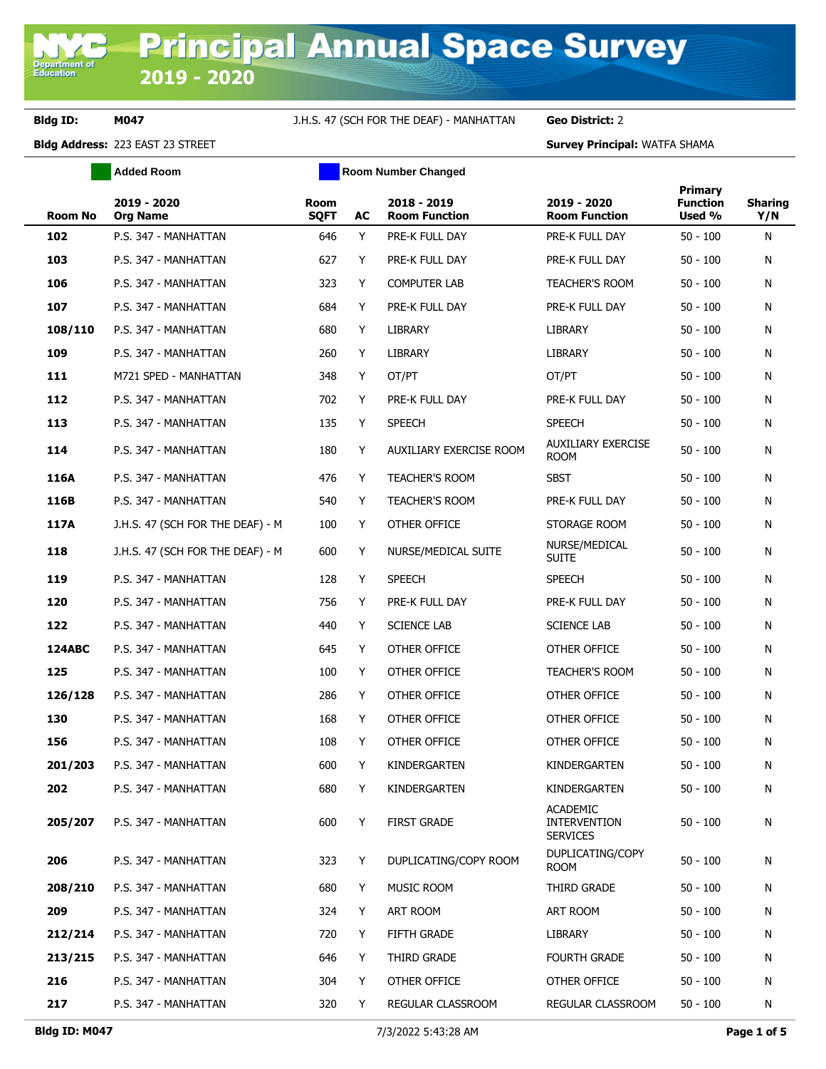Department of<br>Education

### **Bldg ID: M047** J.H.S. 47 (SCH FOR THE DEAF) - MANHATTAN **Geo District:** 2

|               | <b>Added Room</b>                | <b>Room Number Changed</b> |    |                                     |                                                           |                                      |                       |
|---------------|----------------------------------|----------------------------|----|-------------------------------------|-----------------------------------------------------------|--------------------------------------|-----------------------|
| Room No       | 2019 - 2020<br><b>Org Name</b>   | <b>Room</b><br><b>SQFT</b> | AC | 2018 - 2019<br><b>Room Function</b> | 2019 - 2020<br><b>Room Function</b>                       | Primary<br><b>Function</b><br>Used % | <b>Sharing</b><br>Y/N |
| 102           | P.S. 347 - MANHATTAN             | 646                        | Y  | PRE-K FULL DAY                      | PRE-K FULL DAY                                            | $50 - 100$                           | N                     |
| 103           | P.S. 347 - MANHATTAN             | 627                        | Y  | PRE-K FULL DAY                      | PRE-K FULL DAY                                            | $50 - 100$                           | N                     |
| 106           | P.S. 347 - MANHATTAN             | 323                        | Y  | <b>COMPUTER LAB</b>                 | <b>TEACHER'S ROOM</b>                                     | $50 - 100$                           | N                     |
| 107           | P.S. 347 - MANHATTAN             | 684                        | Y  | PRE-K FULL DAY                      | PRE-K FULL DAY                                            | $50 - 100$                           | N                     |
| 108/110       | P.S. 347 - MANHATTAN             | 680                        | Y  | LIBRARY                             | LIBRARY                                                   | $50 - 100$                           | N                     |
| 109           | P.S. 347 - MANHATTAN             | 260                        | Y  | <b>LIBRARY</b>                      | LIBRARY                                                   | $50 - 100$                           | N                     |
| 111           | M721 SPED - MANHATTAN            | 348                        | Y  | OT/PT                               | OT/PT                                                     | $50 - 100$                           | N                     |
| 112           | P.S. 347 - MANHATTAN             | 702                        | Y  | PRE-K FULL DAY                      | PRE-K FULL DAY                                            | $50 - 100$                           | N                     |
| 113           | P.S. 347 - MANHATTAN             | 135                        | Y  | <b>SPEECH</b>                       | <b>SPEECH</b>                                             | $50 - 100$                           | N                     |
| 114           | P.S. 347 - MANHATTAN             | 180                        | Y  | AUXILIARY EXERCISE ROOM             | <b>AUXILIARY EXERCISE</b><br><b>ROOM</b>                  | $50 - 100$                           | N                     |
| 116A          | P.S. 347 - MANHATTAN             | 476                        | Y  | <b>TEACHER'S ROOM</b>               | <b>SBST</b>                                               | $50 - 100$                           | N                     |
| 116B          | P.S. 347 - MANHATTAN             | 540                        | Y  | TEACHER'S ROOM                      | PRE-K FULL DAY                                            | $50 - 100$                           | N                     |
| 117A          | J.H.S. 47 (SCH FOR THE DEAF) - M | 100                        | Y  | OTHER OFFICE                        | STORAGE ROOM                                              | $50 - 100$                           | N                     |
| 118           | J.H.S. 47 (SCH FOR THE DEAF) - M | 600                        | Y  | NURSE/MEDICAL SUITE                 | NURSE/MEDICAL<br><b>SUITE</b>                             | $50 - 100$                           | N                     |
| 119           | P.S. 347 - MANHATTAN             | 128                        | Y  | <b>SPEECH</b>                       | <b>SPEECH</b>                                             | $50 - 100$                           | N                     |
| 120           | P.S. 347 - MANHATTAN             | 756                        | Y  | PRE-K FULL DAY                      | PRE-K FULL DAY                                            | $50 - 100$                           | N                     |
| 122           | P.S. 347 - MANHATTAN             | 440                        | Y  | <b>SCIENCE LAB</b>                  | <b>SCIENCE LAB</b>                                        | $50 - 100$                           | N                     |
| <b>124ABC</b> | P.S. 347 - MANHATTAN             | 645                        | Y  | OTHER OFFICE                        | OTHER OFFICE                                              | $50 - 100$                           | N                     |
| 125           | P.S. 347 - MANHATTAN             | 100                        | Y  | OTHER OFFICE                        | <b>TEACHER'S ROOM</b>                                     | $50 - 100$                           | N                     |
| 126/128       | P.S. 347 - MANHATTAN             | 286                        | Y  | OTHER OFFICE                        | OTHER OFFICE                                              | $50 - 100$                           | N                     |
| 130           | P.S. 347 - MANHATTAN             | 168                        | Y  | OTHER OFFICE                        | OTHER OFFICE                                              | $50 - 100$                           | N                     |
| 156           | P.S. 347 - MANHATTAN             | 108                        | Y  | OTHER OFFICE                        | OTHER OFFICE                                              | $50 - 100$                           | Ν                     |
| 201/203       | P.S. 347 - MANHATTAN             | 600                        | Y  | KINDERGARTEN                        | KINDERGARTEN                                              | $50 - 100$                           | N                     |
| 202           | P.S. 347 - MANHATTAN             | 680                        | Y  | KINDERGARTEN                        | KINDERGARTEN                                              | $50 - 100$                           | N                     |
| 205/207       | P.S. 347 - MANHATTAN             | 600                        | Y  | <b>FIRST GRADE</b>                  | <b>ACADEMIC</b><br><b>INTERVENTION</b><br><b>SERVICES</b> | $50 - 100$                           | N                     |
| 206           | P.S. 347 - MANHATTAN             | 323                        | Y  | DUPLICATING/COPY ROOM               | DUPLICATING/COPY<br><b>ROOM</b>                           | $50 - 100$                           | N                     |
| 208/210       | P.S. 347 - MANHATTAN             | 680                        | Y  | MUSIC ROOM                          | THIRD GRADE                                               | $50 - 100$                           | Ν                     |
| 209           | P.S. 347 - MANHATTAN             | 324                        | Y  | ART ROOM                            | ART ROOM                                                  | $50 - 100$                           | N                     |
| 212/214       | P.S. 347 - MANHATTAN             | 720                        | Y  | FIFTH GRADE                         | LIBRARY                                                   | $50 - 100$                           | N                     |
| 213/215       | P.S. 347 - MANHATTAN             | 646                        | Y  | THIRD GRADE                         | <b>FOURTH GRADE</b>                                       | $50 - 100$                           | N                     |
| 216           | P.S. 347 - MANHATTAN             | 304                        | Y  | OTHER OFFICE                        | OTHER OFFICE                                              | $50 - 100$                           | N                     |
| 217           | P.S. 347 - MANHATTAN             | 320                        | Y  | REGULAR CLASSROOM                   | REGULAR CLASSROOM                                         | $50 - 100$                           | N                     |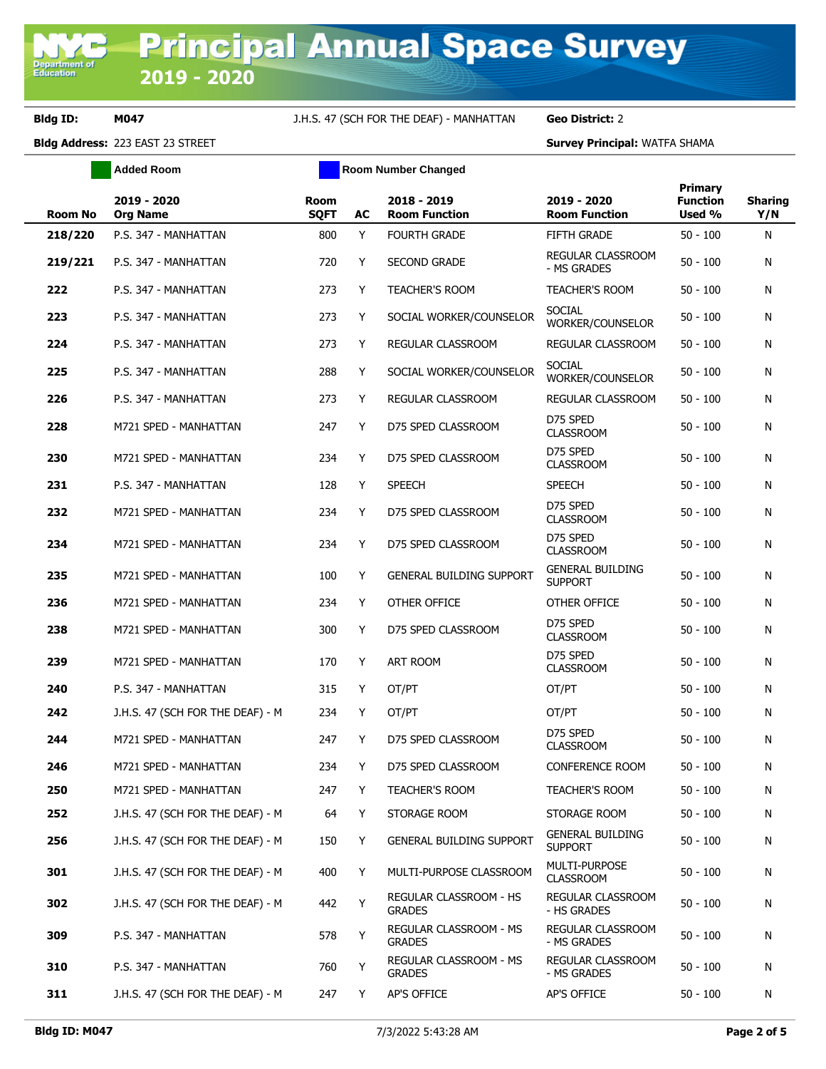**Bldg ID: M047** J.H.S. 47 (SCH FOR THE DEAF) - MANHATTAN **Geo District:** 2

|                | <b>Added Room</b>                | <b>Room Number Changed</b> |    |                                         |                                           |                                             |                       |
|----------------|----------------------------------|----------------------------|----|-----------------------------------------|-------------------------------------------|---------------------------------------------|-----------------------|
| <b>Room No</b> | 2019 - 2020<br><b>Org Name</b>   | Room<br><b>SQFT</b>        | AC | 2018 - 2019<br><b>Room Function</b>     | 2019 - 2020<br><b>Room Function</b>       | <b>Primary</b><br><b>Function</b><br>Used % | <b>Sharing</b><br>Y/N |
| 218/220        | P.S. 347 - MANHATTAN             | 800                        | Y  | <b>FOURTH GRADE</b>                     | <b>FIFTH GRADE</b>                        | $50 - 100$                                  | N                     |
| 219/221        | P.S. 347 - MANHATTAN             | 720                        | Y  | <b>SECOND GRADE</b>                     | <b>REGULAR CLASSROOM</b><br>- MS GRADES   | $50 - 100$                                  | N                     |
| 222            | P.S. 347 - MANHATTAN             | 273                        | Y  | <b>TEACHER'S ROOM</b>                   | <b>TEACHER'S ROOM</b>                     | $50 - 100$                                  | N                     |
| 223            | P.S. 347 - MANHATTAN             | 273                        | Υ  | SOCIAL WORKER/COUNSELOR                 | <b>SOCIAL</b><br>WORKER/COUNSELOR         | $50 - 100$                                  | N                     |
| 224            | P.S. 347 - MANHATTAN             | 273                        | Y  | REGULAR CLASSROOM                       | REGULAR CLASSROOM                         | $50 - 100$                                  | N                     |
| 225            | P.S. 347 - MANHATTAN             | 288                        | Y  | SOCIAL WORKER/COUNSELOR                 | <b>SOCIAL</b><br>WORKER/COUNSELOR         | $50 - 100$                                  | N                     |
| 226            | P.S. 347 - MANHATTAN             | 273                        | Y  | REGULAR CLASSROOM                       | REGULAR CLASSROOM                         | $50 - 100$                                  | N                     |
| 228            | M721 SPED - MANHATTAN            | 247                        | Y  | D75 SPED CLASSROOM                      | D75 SPED<br><b>CLASSROOM</b>              | $50 - 100$                                  | N                     |
| 230            | M721 SPED - MANHATTAN            | 234                        | Y  | D75 SPED CLASSROOM                      | D75 SPED<br><b>CLASSROOM</b>              | $50 - 100$                                  | N                     |
| 231            | P.S. 347 - MANHATTAN             | 128                        | Y  | <b>SPEECH</b>                           | <b>SPEECH</b>                             | $50 - 100$                                  | N                     |
| 232            | M721 SPED - MANHATTAN            | 234                        | Y  | D75 SPED CLASSROOM                      | D75 SPED<br><b>CLASSROOM</b>              | $50 - 100$                                  | N                     |
| 234            | M721 SPED - MANHATTAN            | 234                        | Y  | D75 SPED CLASSROOM                      | D75 SPED<br><b>CLASSROOM</b>              | $50 - 100$                                  | N                     |
| 235            | M721 SPED - MANHATTAN            | 100                        | Y  | <b>GENERAL BUILDING SUPPORT</b>         | <b>GENERAL BUILDING</b><br><b>SUPPORT</b> | $50 - 100$                                  | N                     |
| 236            | M721 SPED - MANHATTAN            | 234                        | Y  | OTHER OFFICE                            | OTHER OFFICE                              | $50 - 100$                                  | N                     |
| 238            | M721 SPED - MANHATTAN            | 300                        | Y  | D75 SPED CLASSROOM                      | D75 SPED<br><b>CLASSROOM</b>              | $50 - 100$                                  | N                     |
| 239            | M721 SPED - MANHATTAN            | 170                        | Y  | ART ROOM                                | D75 SPED<br><b>CLASSROOM</b>              | $50 - 100$                                  | N                     |
| 240            | P.S. 347 - MANHATTAN             | 315                        | Y  | OT/PT                                   | OT/PT                                     | $50 - 100$                                  | N                     |
| 242            | J.H.S. 47 (SCH FOR THE DEAF) - M | 234                        | Y  | OT/PT                                   | OT/PT                                     | $50 - 100$                                  | N                     |
| 244            | M721 SPED - MANHATTAN            | 247                        | Y  | D75 SPED CLASSROOM                      | D75 SPED<br><b>CLASSROOM</b>              | $50 - 100$                                  | N                     |
| 246            | M721 SPED - MANHATTAN            | 234                        | Y. | D75 SPED CLASSROOM                      | CONFERENCE ROOM                           | $50 - 100$                                  | N                     |
| 250            | M721 SPED - MANHATTAN            | 247                        | Y  | TEACHER'S ROOM                          | TEACHER'S ROOM                            | $50 - 100$                                  | N                     |
| 252            | J.H.S. 47 (SCH FOR THE DEAF) - M | 64                         | Y  | STORAGE ROOM                            | STORAGE ROOM                              | $50 - 100$                                  | N                     |
| 256            | J.H.S. 47 (SCH FOR THE DEAF) - M | 150                        | Y  | GENERAL BUILDING SUPPORT                | <b>GENERAL BUILDING</b><br><b>SUPPORT</b> | $50 - 100$                                  | N                     |
| 301            | J.H.S. 47 (SCH FOR THE DEAF) - M | 400                        | Y  | MULTI-PURPOSE CLASSROOM                 | MULTI-PURPOSE<br><b>CLASSROOM</b>         | $50 - 100$                                  | N                     |
| 302            | J.H.S. 47 (SCH FOR THE DEAF) - M | 442                        | Y  | REGULAR CLASSROOM - HS<br><b>GRADES</b> | REGULAR CLASSROOM<br>- HS GRADES          | $50 - 100$                                  | N                     |
| 309            | P.S. 347 - MANHATTAN             | 578                        | Y  | REGULAR CLASSROOM - MS<br><b>GRADES</b> | REGULAR CLASSROOM<br>- MS GRADES          | $50 - 100$                                  | N                     |
| 310            | P.S. 347 - MANHATTAN             | 760                        | Y  | REGULAR CLASSROOM - MS<br><b>GRADES</b> | REGULAR CLASSROOM<br>- MS GRADES          | $50 - 100$                                  | N                     |
| 311            | J.H.S. 47 (SCH FOR THE DEAF) - M | 247                        | Y  | AP'S OFFICE                             | <b>AP'S OFFICE</b>                        | $50 - 100$                                  | N                     |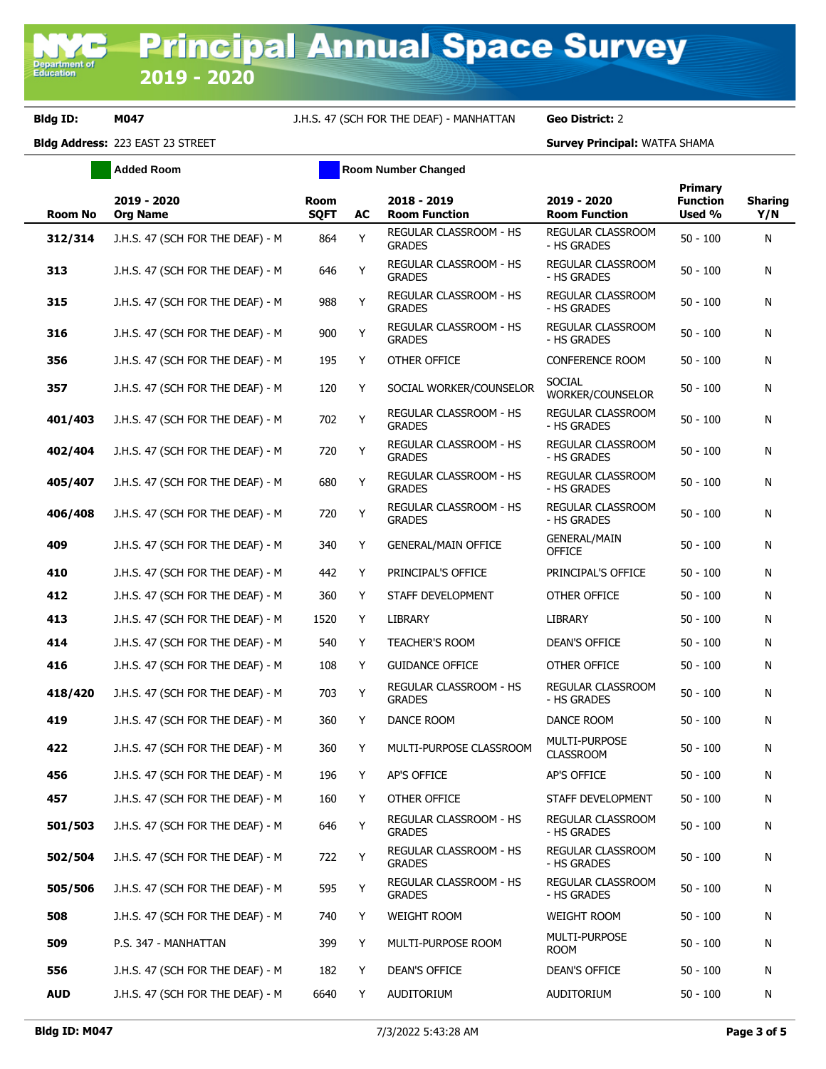## **Bldg ID: M047** J.H.S. 47 (SCH FOR THE DEAF) - MANHATTAN **Geo District:** 2

**Added Room Room Room Number Changed** 

| <b>Room No</b> | 2019 - 2020<br><b>Org Name</b>   | Room<br><b>SQFT</b> | AC | 2018 - 2019<br><b>Room Function</b>            | 2019 - 2020<br><b>Room Function</b>  | <b>Primary</b><br><b>Function</b><br>Used % | <b>Sharing</b><br>Y/N |
|----------------|----------------------------------|---------------------|----|------------------------------------------------|--------------------------------------|---------------------------------------------|-----------------------|
| 312/314        | J.H.S. 47 (SCH FOR THE DEAF) - M | 864                 | Y  | <b>REGULAR CLASSROOM - HS</b><br><b>GRADES</b> | REGULAR CLASSROOM<br>- HS GRADES     | $50 - 100$                                  | N                     |
| 313            | J.H.S. 47 (SCH FOR THE DEAF) - M | 646                 | Y  | REGULAR CLASSROOM - HS<br><b>GRADES</b>        | REGULAR CLASSROOM<br>- HS GRADES     | $50 - 100$                                  | N                     |
| 315            | J.H.S. 47 (SCH FOR THE DEAF) - M | 988                 | Y  | REGULAR CLASSROOM - HS<br><b>GRADES</b>        | REGULAR CLASSROOM<br>- HS GRADES     | $50 - 100$                                  | N                     |
| 316            | J.H.S. 47 (SCH FOR THE DEAF) - M | 900                 | Y  | REGULAR CLASSROOM - HS<br><b>GRADES</b>        | REGULAR CLASSROOM<br>- HS GRADES     | $50 - 100$                                  | N                     |
| 356            | J.H.S. 47 (SCH FOR THE DEAF) - M | 195                 | Y  | OTHER OFFICE                                   | <b>CONFERENCE ROOM</b>               | $50 - 100$                                  | N                     |
| 357            | J.H.S. 47 (SCH FOR THE DEAF) - M | 120                 | Y  | SOCIAL WORKER/COUNSELOR                        | <b>SOCIAL</b><br>WORKER/COUNSELOR    | $50 - 100$                                  | N                     |
| 401/403        | J.H.S. 47 (SCH FOR THE DEAF) - M | 702                 | Y  | REGULAR CLASSROOM - HS<br><b>GRADES</b>        | REGULAR CLASSROOM<br>- HS GRADES     | $50 - 100$                                  | N                     |
| 402/404        | J.H.S. 47 (SCH FOR THE DEAF) - M | 720                 | Y  | REGULAR CLASSROOM - HS<br><b>GRADES</b>        | REGULAR CLASSROOM<br>- HS GRADES     | $50 - 100$                                  | N                     |
| 405/407        | J.H.S. 47 (SCH FOR THE DEAF) - M | 680                 | Y  | REGULAR CLASSROOM - HS<br><b>GRADES</b>        | REGULAR CLASSROOM<br>- HS GRADES     | $50 - 100$                                  | N                     |
| 406/408        | J.H.S. 47 (SCH FOR THE DEAF) - M | 720                 | Υ  | REGULAR CLASSROOM - HS<br><b>GRADES</b>        | REGULAR CLASSROOM<br>- HS GRADES     | $50 - 100$                                  | N                     |
| 409            | J.H.S. 47 (SCH FOR THE DEAF) - M | 340                 | Y  | <b>GENERAL/MAIN OFFICE</b>                     | <b>GENERAL/MAIN</b><br><b>OFFICE</b> | $50 - 100$                                  | N                     |
| 410            | J.H.S. 47 (SCH FOR THE DEAF) - M | 442                 | Y  | PRINCIPAL'S OFFICE                             | PRINCIPAL'S OFFICE                   | $50 - 100$                                  | N                     |
| 412            | J.H.S. 47 (SCH FOR THE DEAF) - M | 360                 | Y  | STAFF DEVELOPMENT                              | OTHER OFFICE                         | $50 - 100$                                  | N                     |
| 413            | J.H.S. 47 (SCH FOR THE DEAF) - M | 1520                | Y  | LIBRARY                                        | <b>LIBRARY</b>                       | $50 - 100$                                  | N                     |
| 414            | J.H.S. 47 (SCH FOR THE DEAF) - M | 540                 | Y  | <b>TEACHER'S ROOM</b>                          | <b>DEAN'S OFFICE</b>                 | $50 - 100$                                  | N                     |
| 416            | J.H.S. 47 (SCH FOR THE DEAF) - M | 108                 | Y  | <b>GUIDANCE OFFICE</b>                         | OTHER OFFICE                         | $50 - 100$                                  | N                     |
| 418/420        | J.H.S. 47 (SCH FOR THE DEAF) - M | 703                 | Y  | REGULAR CLASSROOM - HS<br><b>GRADES</b>        | REGULAR CLASSROOM<br>- HS GRADES     | $50 - 100$                                  | N                     |
| 419            | J.H.S. 47 (SCH FOR THE DEAF) - M | 360                 | Y  | DANCE ROOM                                     | DANCE ROOM                           | $50 - 100$                                  | N                     |
| 422            | J.H.S. 47 (SCH FOR THE DEAF) - M | 360                 | Y  | MULTI-PURPOSE CLASSROOM                        | MULTI-PURPOSE<br><b>CLASSROOM</b>    | $50 - 100$                                  | N                     |
| 456            | J.H.S. 47 (SCH FOR THE DEAF) - M | 196                 | Y  | AP'S OFFICE                                    | <b>AP'S OFFICE</b>                   | $50 - 100$                                  | N                     |
| 457            | J.H.S. 47 (SCH FOR THE DEAF) - M | 160                 | Y  | OTHER OFFICE                                   | STAFF DEVELOPMENT                    | $50 - 100$                                  | N                     |
| 501/503        | J.H.S. 47 (SCH FOR THE DEAF) - M | 646                 | Υ  | <b>REGULAR CLASSROOM - HS</b><br><b>GRADES</b> | REGULAR CLASSROOM<br>- HS GRADES     | $50 - 100$                                  | N                     |
| 502/504        | J.H.S. 47 (SCH FOR THE DEAF) - M | 722                 | Y  | REGULAR CLASSROOM - HS<br><b>GRADES</b>        | REGULAR CLASSROOM<br>- HS GRADES     | $50 - 100$                                  | N                     |
| 505/506        | J.H.S. 47 (SCH FOR THE DEAF) - M | 595                 | Y  | REGULAR CLASSROOM - HS<br><b>GRADES</b>        | REGULAR CLASSROOM<br>- HS GRADES     | $50 - 100$                                  | N                     |
| 508            | J.H.S. 47 (SCH FOR THE DEAF) - M | 740                 | Y  | <b>WEIGHT ROOM</b>                             | <b>WEIGHT ROOM</b>                   | $50 - 100$                                  | N                     |
| 509            | P.S. 347 - MANHATTAN             | 399                 | Y  | MULTI-PURPOSE ROOM                             | MULTI-PURPOSE<br><b>ROOM</b>         | $50 - 100$                                  | N                     |
| 556            | J.H.S. 47 (SCH FOR THE DEAF) - M | 182                 | Y  | DEAN'S OFFICE                                  | DEAN'S OFFICE                        | $50 - 100$                                  | N                     |
| <b>AUD</b>     | J.H.S. 47 (SCH FOR THE DEAF) - M | 6640                | Y  | AUDITORIUM                                     | AUDITORIUM                           | $50 - 100$                                  | N                     |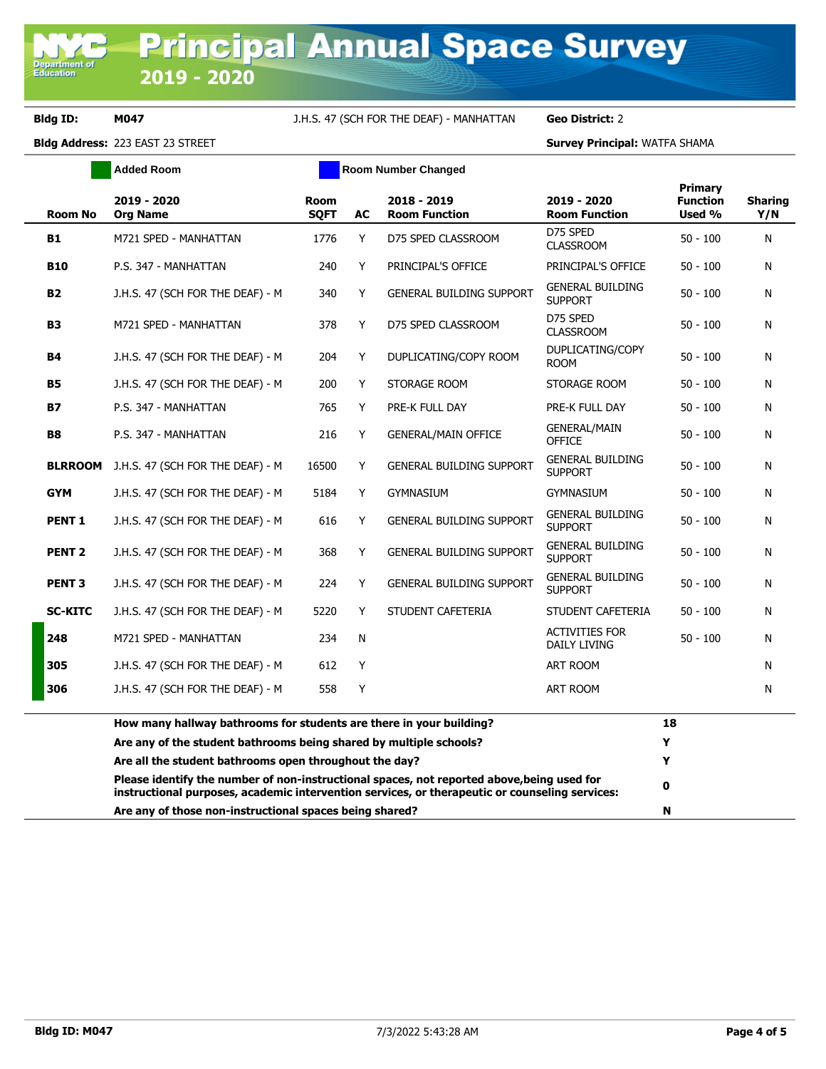## **Bldg ID: M047** J.H.S. 47 (SCH FOR THE DEAF) - MANHATTAN **Geo District:** 2

|                   | <b>Added Room</b>                                                                                                                                                                            |                     |    | <b>Room Number Changed</b>          |                                           |                                             |                       |
|-------------------|----------------------------------------------------------------------------------------------------------------------------------------------------------------------------------------------|---------------------|----|-------------------------------------|-------------------------------------------|---------------------------------------------|-----------------------|
| <b>Room No</b>    | 2019 - 2020<br><b>Org Name</b>                                                                                                                                                               | Room<br><b>SOFT</b> | AC | 2018 - 2019<br><b>Room Function</b> | 2019 - 2020<br><b>Room Function</b>       | <b>Primary</b><br><b>Function</b><br>Used % | <b>Sharing</b><br>Y/N |
| B1                | M721 SPED - MANHATTAN                                                                                                                                                                        | 1776                | Y  | D75 SPED CLASSROOM                  | D75 SPED<br><b>CLASSROOM</b>              | $50 - 100$                                  | N                     |
| <b>B10</b>        | P.S. 347 - MANHATTAN                                                                                                                                                                         | 240                 | Y  | PRINCIPAL'S OFFICE                  | PRINCIPAL'S OFFICE                        | $50 - 100$                                  | N                     |
| <b>B2</b>         | J.H.S. 47 (SCH FOR THE DEAF) - M                                                                                                                                                             | 340                 | Y  | <b>GENERAL BUILDING SUPPORT</b>     | <b>GENERAL BUILDING</b><br><b>SUPPORT</b> | $50 - 100$                                  | N                     |
| <b>B3</b>         | M721 SPED - MANHATTAN                                                                                                                                                                        | 378                 | Y  | D75 SPED CLASSROOM                  | D75 SPED<br><b>CLASSROOM</b>              | $50 - 100$                                  | N                     |
| <b>B4</b>         | J.H.S. 47 (SCH FOR THE DEAF) - M                                                                                                                                                             | 204                 | Υ  | DUPLICATING/COPY ROOM               | DUPLICATING/COPY<br><b>ROOM</b>           | $50 - 100$                                  | N                     |
| <b>B5</b>         | J.H.S. 47 (SCH FOR THE DEAF) - M                                                                                                                                                             | 200                 | Y  | STORAGE ROOM                        | STORAGE ROOM                              | $50 - 100$                                  | N                     |
| B7                | P.S. 347 - MANHATTAN                                                                                                                                                                         | 765                 | Y  | PRE-K FULL DAY                      | PRE-K FULL DAY                            | $50 - 100$                                  | N                     |
| <b>B8</b>         | P.S. 347 - MANHATTAN                                                                                                                                                                         | 216                 | Y  | <b>GENERAL/MAIN OFFICE</b>          | <b>GENERAL/MAIN</b><br>OFFICE             | $50 - 100$                                  | N                     |
| <b>BLRROOM</b>    | J.H.S. 47 (SCH FOR THE DEAF) - M                                                                                                                                                             | 16500               | Y  | <b>GENERAL BUILDING SUPPORT</b>     | <b>GENERAL BUILDING</b><br><b>SUPPORT</b> | $50 - 100$                                  | N                     |
| <b>GYM</b>        | J.H.S. 47 (SCH FOR THE DEAF) - M                                                                                                                                                             | 5184                | Y  | <b>GYMNASIUM</b>                    | <b>GYMNASIUM</b>                          | $50 - 100$                                  | N                     |
| <b>PENT 1</b>     | J.H.S. 47 (SCH FOR THE DEAF) - M                                                                                                                                                             | 616                 | Y  | <b>GENERAL BUILDING SUPPORT</b>     | <b>GENERAL BUILDING</b><br><b>SUPPORT</b> | $50 - 100$                                  | N                     |
| PENT <sub>2</sub> | J.H.S. 47 (SCH FOR THE DEAF) - M                                                                                                                                                             | 368                 | Y  | <b>GENERAL BUILDING SUPPORT</b>     | <b>GENERAL BUILDING</b><br><b>SUPPORT</b> | $50 - 100$                                  | N                     |
| <b>PENT 3</b>     | J.H.S. 47 (SCH FOR THE DEAF) - M                                                                                                                                                             | 224                 | Y  | <b>GENERAL BUILDING SUPPORT</b>     | <b>GENERAL BUILDING</b><br><b>SUPPORT</b> | $50 - 100$                                  | N                     |
| <b>SC-KITC</b>    | J.H.S. 47 (SCH FOR THE DEAF) - M                                                                                                                                                             | 5220                | Y  | STUDENT CAFETERIA                   | STUDENT CAFETERIA                         | $50 - 100$                                  | N                     |
| 248               | M721 SPED - MANHATTAN                                                                                                                                                                        | 234                 | N  |                                     | <b>ACTIVITIES FOR</b><br>DAILY LIVING     | $50 - 100$                                  | N                     |
| 305               | J.H.S. 47 (SCH FOR THE DEAF) - M                                                                                                                                                             | 612                 | Y  |                                     | <b>ART ROOM</b>                           |                                             | N                     |
| 306               | J.H.S. 47 (SCH FOR THE DEAF) - M                                                                                                                                                             | 558                 | Y  |                                     | <b>ART ROOM</b>                           |                                             | N                     |
|                   | How many hallway bathrooms for students are there in your building?                                                                                                                          |                     |    |                                     |                                           | 18                                          |                       |
|                   | Are any of the student bathrooms being shared by multiple schools?                                                                                                                           |                     |    |                                     |                                           | Y                                           |                       |
|                   | Are all the student bathrooms open throughout the day?                                                                                                                                       |                     |    |                                     |                                           | Y                                           |                       |
|                   | Please identify the number of non-instructional spaces, not reported above, being used for<br>instructional purposes, academic intervention services, or therapeutic or counseling services: |                     |    |                                     |                                           | $\mathbf 0$                                 |                       |
|                   | Are any of those non-instructional spaces being shared?                                                                                                                                      |                     |    |                                     |                                           | N                                           |                       |